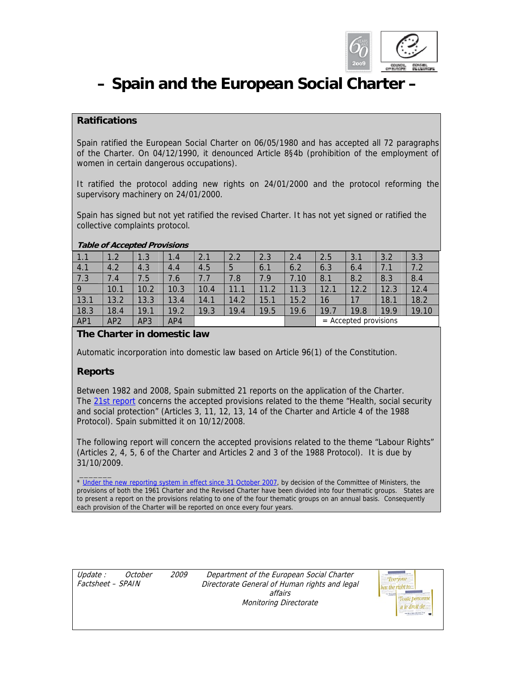

# **– Spain and the European Social Charter –**

# **Ratifications**

Spain ratified the European Social Charter on 06/05/1980 and has accepted all 72 paragraphs of the Charter. On 04/12/1990, it denounced Article 8§4b (prohibition of the employment of women in certain dangerous occupations).

It ratified the protocol adding new rights on 24/01/2000 and the protocol reforming the supervisory machinery on 24/01/2000.

Spain has signed but not yet ratified the revised Charter. It has not yet signed or ratified the collective complaints protocol.

|                | -               |      |      |      |      |                   |      |      |                     |      |       |
|----------------|-----------------|------|------|------|------|-------------------|------|------|---------------------|------|-------|
| 1.1            | 1.2             | 1.3  | 1.4  | 2.1  | 2.2  | 2.3               | 2.4  | 2.5  | 3.1                 | 3.2  | 3.3   |
| 4.1            | 4.2             | 4.3  | 4.4  | 4.5  | 5    | 6.1               | 6.2  | 6.3  | 6.4                 | 7.1  | 7.2   |
| 7.3            | 7.4             | 7.5  | 7.6  | 7.7  | 7.8  | 7.9               | 7.10 | 8.1  | 8.2                 | 8.3  | 8.4   |
| $\overline{9}$ | 10.1            | 10.2 | 10.3 | 10.4 | 11.1 | 11.2              | 11.3 | 12.1 | 12.2                | 12.3 | 12.4  |
| 13.1           | 13.2            | 13.3 | 13.4 | 14.1 | 14.2 | $\overline{15}$ . | 15.2 | 16   | 17                  | 18.1 | 18.2  |
| 18.3           | 18.4            | 19.1 | 19.2 | 19.3 | 19.4 | 19.5              | 19.6 | 19.1 | 19.8                | 19.9 | 19.10 |
| AP1            | AP <sub>2</sub> | AP3  | AP4  |      |      |                   |      | $=$  | Accepted provisions |      |       |

#### **Table of Accepted Provisions**

# **The Charter in domestic law**

Automatic incorporation into domestic law based on Article 96(1) of the Constitution.

## **Reports**

Between 1982 and 2008, Spain submitted 21 reports on the application of the Charter. The 21st report concerns the accepted provisions related to the theme "Health, social security and social protection" (Articles 3, 11, 12, 13, 14 of the Charter and Article 4 of the 1988 Protocol). Spain submitted it on 10/12/2008.

The following report will concern the accepted provisions related to the theme "Labour Rights" (Articles 2, 4, 5, 6 of the Charter and Articles 2 and 3 of the 1988 Protocol). It is due by 31/10/2009.

 $\overline{\phantom{a}}$ \* Under the new reporting system in effect since 31 October 2007, by decision of the Committee of Ministers, the provisions of both the 1961 Charter and the Revised Charter have been divided into four thematic groups. States are to present a report on the provisions relating to one of the four thematic groups on an annual basis. Consequently each provision of the Charter will be reported on once every four years.

| Update :          | October | <i>2009</i> |
|-------------------|---------|-------------|
| Factsheet – SPAIN |         |             |

Department of the European Social Charter Directorate General of Human rights and legal affairs Monitoring Directorate

| <b>SECTION</b> |                |
|----------------|----------------|
|                | Toute personne |
|                |                |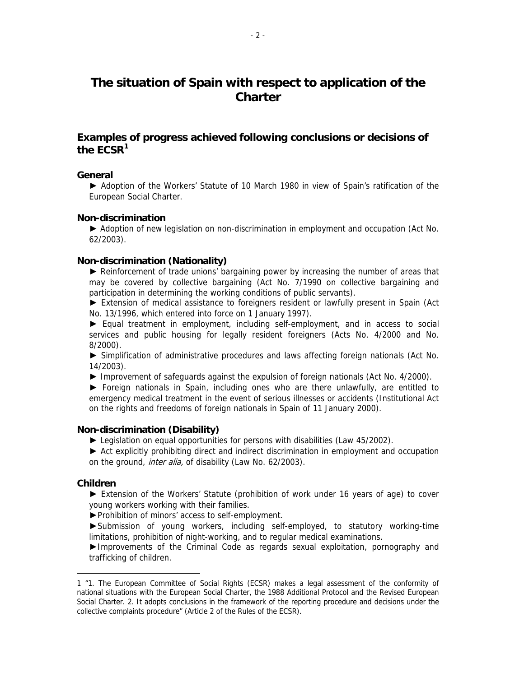# **The situation of Spain with respect to application of the Charter**

# **Examples of progress achieved following conclusions or decisions of the ECSR1**

#### **General**

► Adoption of the Workers' Statute of 10 March 1980 in view of Spain's ratification of the European Social Charter.

#### **Non-discrimination**

► Adoption of new legislation on non-discrimination in employment and occupation (Act No. 62/2003).

#### **Non-discrimination (Nationality)**

► Reinforcement of trade unions' bargaining power by increasing the number of areas that may be covered by collective bargaining (Act No. 7/1990 on collective bargaining and participation in determining the working conditions of public servants).

► Extension of medical assistance to foreigners resident or lawfully present in Spain (Act No. 13/1996, which entered into force on 1 January 1997).

**►** Equal treatment in employment, including self-employment, and in access to social services and public housing for legally resident foreigners (Acts No. 4/2000 and No. 8/2000).

► Simplification of administrative procedures and laws affecting foreign nationals (Act No. 14/2003).

► Improvement of safeguards against the expulsion of foreign nationals (Act No. 4/2000).

► Foreign nationals in Spain, including ones who are there unlawfully, are entitled to emergency medical treatment in the event of serious illnesses or accidents (Institutional Act on the rights and freedoms of foreign nationals in Spain of 11 January 2000).

#### **Non-discrimination (Disability)**

► Legislation on equal opportunities for persons with disabilities (Law 45/2002).

► Act explicitly prohibiting direct and indirect discrimination in employment and occupation on the ground, *inter alia*, of disability (Law No. 62/2003).

#### **Children**

 $\overline{a}$ 

► Extension of the Workers' Statute (prohibition of work under 16 years of age) to cover young workers working with their families.

►Prohibition of minors' access to self-employment.

►Submission of young workers, including self-employed, to statutory working-time limitations, prohibition of night-working, and to regular medical examinations.

►Improvements of the Criminal Code as regards sexual exploitation, pornography and trafficking of children.

<sup>1 &</sup>quot;1. The European Committee of Social Rights (ECSR) makes a legal assessment of the conformity of national situations with the European Social Charter, the 1988 Additional Protocol and the Revised European Social Charter. 2. It adopts conclusions in the framework of the reporting procedure and decisions under the collective complaints procedure" (Article 2 of the Rules of the ECSR).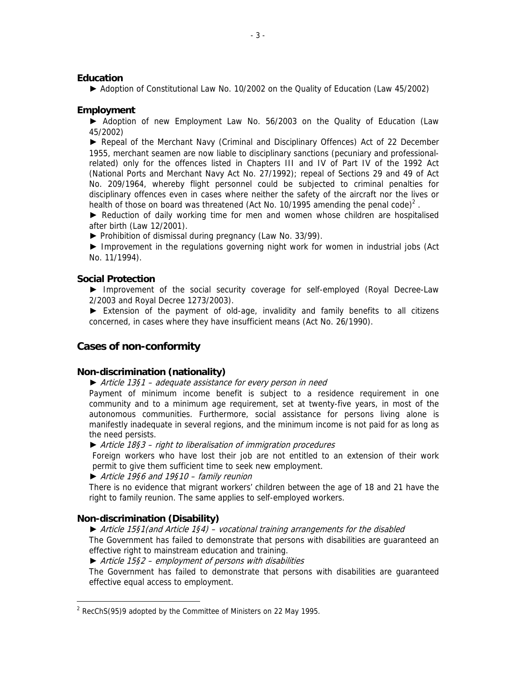#### **Education**

► Adoption of Constitutional Law No. 10/2002 on the Quality of Education (Law 45/2002)

#### **Employment**

► Adoption of new Employment Law No. 56/2003 on the Quality of Education (Law 45/2002)

► Repeal of the Merchant Navy (Criminal and Disciplinary Offences) Act of 22 December 1955, merchant seamen are now liable to disciplinary sanctions (pecuniary and professionalrelated) only for the offences listed in Chapters III and IV of Part IV of the 1992 Act (National Ports and Merchant Navy Act No. 27/1992); repeal of Sections 29 and 49 of Act No. 209/1964, whereby flight personnel could be subjected to criminal penalties for disciplinary offences even in cases where neither the safety of the aircraft nor the lives or health of those on board was threatened (Act No. 10/1995 amending the penal code)<sup>2</sup>.

► Reduction of daily working time for men and women whose children are hospitalised after birth (Law 12/2001).

**►** Prohibition of dismissal during pregnancy (Law No. 33/99).

► Improvement in the regulations governing night work for women in industrial jobs (Act No. 11/1994).

#### **Social Protection**

► Improvement of the social security coverage for self-employed (Royal Decree-Law 2/2003 and Royal Decree 1273/2003).

► Extension of the payment of old-age, invalidity and family benefits to all citizens concerned, in cases where they have insufficient means (Act No. 26/1990).

## **Cases of non-conformity**

#### **Non-discrimination (nationality)**

*►* Article 13§1 – adequate assistance for every person in need

Payment of minimum income benefit is subject to a residence requirement in one community and to a minimum age requirement, set at twenty-five years, in most of the autonomous communities. Furthermore, social assistance for persons living alone is manifestly inadequate in several regions, and the minimum income is not paid for as long as the need persists.

**►** Article 18§3 – right to liberalisation of immigration procedures

Foreign workers who have lost their job are not entitled to an extension of their work permit to give them sufficient time to seek new employment.

#### **►** Article 19§6 and 19§10 – family reunion

There is no evidence that migrant workers' children between the age of 18 and 21 have the right to family reunion. The same applies to self-employed workers.

#### **Non-discrimination (Disability)**

 $\overline{a}$ 

#### **►** Article 15§1(and Article 1§4) – vocational training arrangements for the disabled

The Government has failed to demonstrate that persons with disabilities are guaranteed an effective right to mainstream education and training.

**►** Article 15§2 – employment of persons with disabilities

The Government has failed to demonstrate that persons with disabilities are guaranteed effective equal access to employment.

 $2$  RecChS(95)9 adopted by the Committee of Ministers on 22 May 1995.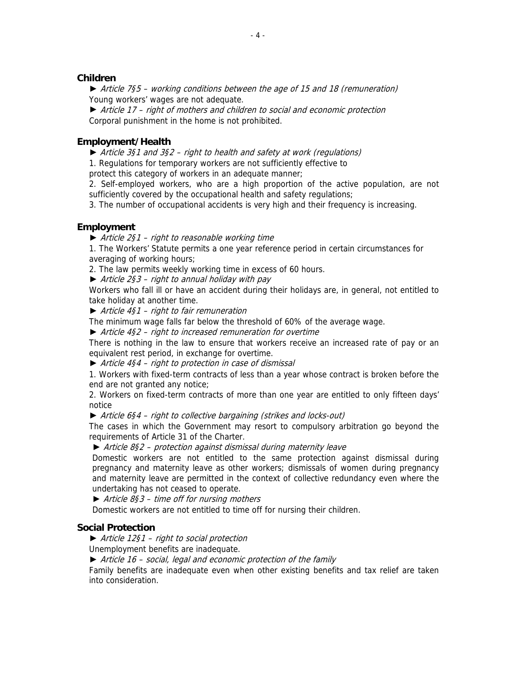#### **Children**

*►* Article 7§5 – working conditions between the age of 15 and 18 (remuneration) Young workers' wages are not adequate.

*►* Article 17 – right of mothers and children to social and economic protection Corporal punishment in the home is not prohibited.

#### **Employment/Health**

**►** Article 3§1 and 3§2 – right to health and safety at work (regulations)

1. Regulations for temporary workers are not sufficiently effective to

protect this category of workers in an adequate manner;

2. Self-employed workers, who are a high proportion of the active population, are not sufficiently covered by the occupational health and safety regulations;

3. The number of occupational accidents is very high and their frequency is increasing.

#### **Employment**

*►* Article 2§1 – right to reasonable working time

1. The Workers' Statute permits a one year reference period in certain circumstances for averaging of working hours;

2. The law permits weekly working time in excess of 60 hours.

*►* Article 2§3 – right to annual holiday with pay

Workers who fall ill or have an accident during their holidays are, in general, not entitled to take holiday at another time.

*►* Article 4§1 – right to fair remuneration

The minimum wage falls far below the threshold of 60% of the average wage.

*►* Article 4§2 – right to increased remuneration for overtime

There is nothing in the law to ensure that workers receive an increased rate of pay or an equivalent rest period, in exchange for overtime.

*►* Article 4§4 – right to protection in case of dismissal

1. Workers with fixed-term contracts of less than a year whose contract is broken before the end are not granted any notice;

2. Workers on fixed-term contracts of more than one year are entitled to only fifteen days' notice

*►* Article 6§4 – right to collective bargaining (strikes and locks-out)

The cases in which the Government may resort to compulsory arbitration go beyond the requirements of Article 31 of the Charter.

► Article 8§2 – protection against dismissal during maternity leave

Domestic workers are not entitled to the same protection against dismissal during pregnancy and maternity leave as other workers; dismissals of women during pregnancy and maternity leave are permitted in the context of collective redundancy even where the undertaking has not ceased to operate.

► Article 8§3 – time off for nursing mothers

Domestic workers are not entitled to time off for nursing their children.

#### **Social Protection**

*►* Article 12§1 – right to social protection

Unemployment benefits are inadequate.

*►* Article 16 – social, legal and economic protection of the family

Family benefits are inadequate even when other existing benefits and tax relief are taken into consideration.